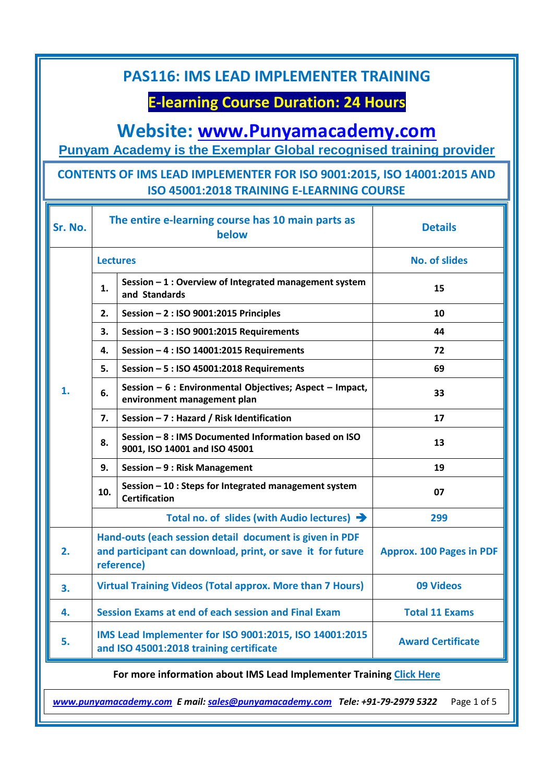# **E-learning Course Duration: 24 Hours**

## **Website: [www.Punyamacademy.com](http://www.punyamacademy.com/)**

**Punyam Academy is the Exemplar Global recognised training provider**

#### **CONTENTS OF IMS LEAD IMPLEMENTER FOR ISO 9001:2015, ISO 14001:2015 AND ISO 45001:2018 TRAINING E-LEARNING COURSE**

| Sr. No. | The entire e-learning course has 10 main parts as<br>below                                                                          |                                                                                         | <b>Details</b>                  |
|---------|-------------------------------------------------------------------------------------------------------------------------------------|-----------------------------------------------------------------------------------------|---------------------------------|
| 1.      | <b>Lectures</b>                                                                                                                     |                                                                                         | <b>No. of slides</b>            |
|         | 1.                                                                                                                                  | Session - 1 : Overview of Integrated management system<br>and Standards                 | 15                              |
|         | 2.                                                                                                                                  | Session $-2$ : ISO 9001:2015 Principles                                                 | 10                              |
|         | 3.                                                                                                                                  | Session - 3 : ISO 9001:2015 Requirements                                                | 44                              |
|         | 4.                                                                                                                                  | Session - 4 : ISO 14001:2015 Requirements                                               | 72                              |
|         | 5.                                                                                                                                  | Session - 5 : ISO 45001:2018 Requirements                                               | 69                              |
|         | 6.                                                                                                                                  | Session - 6 : Environmental Objectives; Aspect - Impact,<br>environment management plan | 33                              |
|         | 7.                                                                                                                                  | Session - 7 : Hazard / Risk Identification                                              | 17                              |
|         | 8.                                                                                                                                  | Session - 8 : IMS Documented Information based on ISO<br>9001, ISO 14001 and ISO 45001  | 13                              |
|         | 9.                                                                                                                                  | Session - 9 : Risk Management                                                           | 19                              |
|         | 10.                                                                                                                                 | Session - 10 : Steps for Integrated management system<br><b>Certification</b>           | 07                              |
|         | Total no. of slides (with Audio lectures) $\rightarrow$                                                                             |                                                                                         | 299                             |
| 2.      | Hand-outs (each session detail document is given in PDF<br>and participant can download, print, or save it for future<br>reference) |                                                                                         | <b>Approx. 100 Pages in PDF</b> |
| 3.      | <b>Virtual Training Videos (Total approx. More than 7 Hours)</b>                                                                    |                                                                                         | 09 Videos                       |
| 4.      | Session Exams at end of each session and Final Exam                                                                                 |                                                                                         | <b>Total 11 Exams</b>           |
| 5.      | IMS Lead Implementer for ISO 9001:2015, ISO 14001:2015<br>and ISO 45001:2018 training certificate                                   |                                                                                         | <b>Award Certificate</b>        |

**For more information about IMS Lead Implementer Training [Click Here](https://www.punyamacademy.com/course/hse/ims-lead-implementer-training)**

*[www.punyamacademy.com](https://www.punyamacademy.com/) E mail[: sales@punyamacademy.com](mailto:sales@punyamacademy.com) Tele: +91-79-2979 5322* Page 1 of 5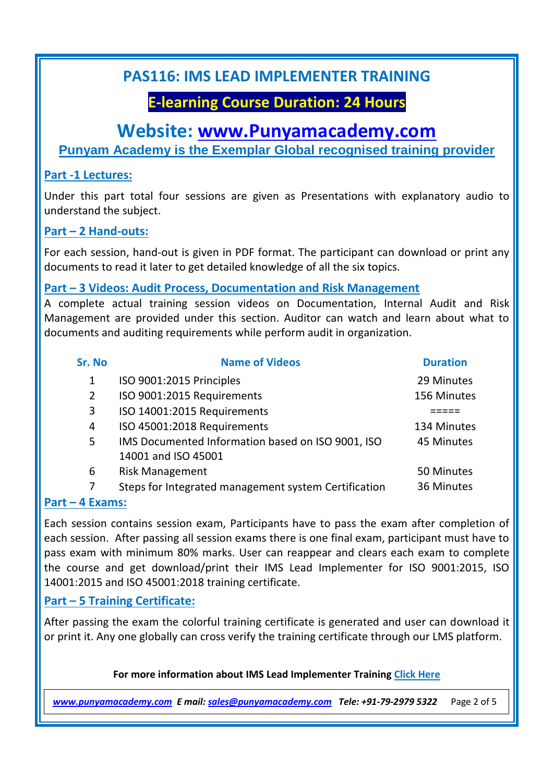## **E-learning Course Duration: 24 Hours**

#### **Website: [www.Punyamacademy.com](http://www.punyamacademy.com/)**

**Punyam Academy is the Exemplar Global recognised training provider**

#### **Part -1 Lectures:**

Under this part total four sessions are given as Presentations with explanatory audio to understand the subject.

#### **Part – 2 Hand-outs:**

For each session, hand-out is given in PDF format. The participant can download or print any documents to read it later to get detailed knowledge of all the six topics.

#### **Part – 3 Videos: Audit Process, Documentation and Risk Management**

A complete actual training session videos on Documentation, Internal Audit and Risk Management are provided under this section. Auditor can watch and learn about what to documents and auditing requirements while perform audit in organization.

| Sr. No                                                                                | <b>Name of Videos</b>                                | <b>Duration</b> |
|---------------------------------------------------------------------------------------|------------------------------------------------------|-----------------|
| 1                                                                                     | ISO 9001:2015 Principles                             | 29 Minutes      |
| 2                                                                                     | ISO 9001:2015 Requirements                           | 156 Minutes     |
| 3                                                                                     | ISO 14001:2015 Requirements                          |                 |
| 4                                                                                     | ISO 45001:2018 Requirements                          | 134 Minutes     |
| 5                                                                                     | IMS Documented Information based on ISO 9001, ISO    | 45 Minutes      |
|                                                                                       | 14001 and ISO 45001                                  |                 |
| 6                                                                                     | <b>Risk Management</b>                               | 50 Minutes      |
| 7                                                                                     | Steps for Integrated management system Certification | 36 Minutes      |
| $\mathbf{A}$ $\mathbf{F}$ , $\mathbf{A}$ , $\mathbf{A}$ , $\mathbf{A}$ , $\mathbf{A}$ |                                                      |                 |

#### **Part – 4 Exams:**

Each session contains session exam, Participants have to pass the exam after completion of each session. After passing all session exams there is one final exam, participant must have to pass exam with minimum 80% marks. User can reappear and clears each exam to complete the course and get download/print their IMS Lead Implementer for ISO 9001:2015, ISO 14001:2015 and ISO 45001:2018 training certificate.

#### **Part – 5 Training Certificate:**

After passing the exam the colorful training certificate is generated and user can download it or print it. Any one globally can cross verify the training certificate through our LMS platform.

#### **For more information about IMS Lead Implementer Training [Click Here](https://www.punyamacademy.com/course/hse/ims-lead-implementer-training)**

*[www.punyamacademy.com](https://www.punyamacademy.com/) E mail[: sales@punyamacademy.com](mailto:sales@punyamacademy.com) Tele: +91-79-2979 5322* Page 2 of 5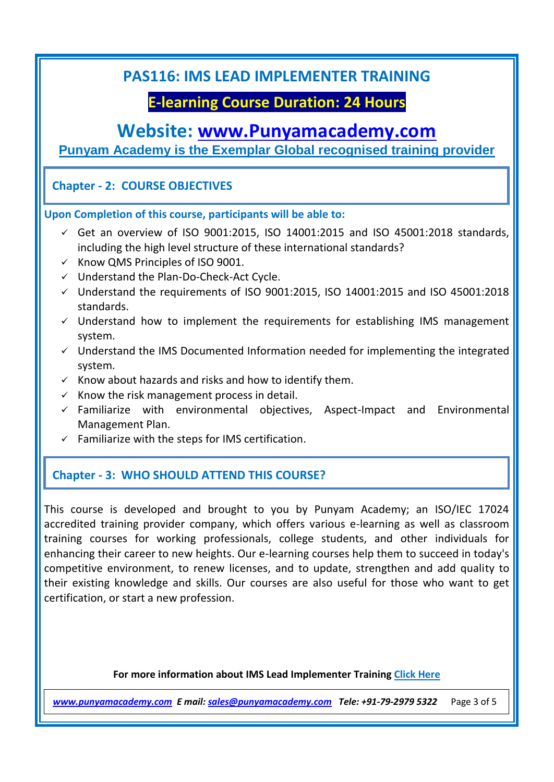### **E-learning Course Duration: 24 Hours**

### **Website: [www.Punyamacademy.com](http://www.punyamacademy.com/)**

**Punyam Academy is the Exemplar Global recognised training provider**

#### **Chapter - 2: COURSE OBJECTIVES**

**Upon Completion of this course, participants will be able to:** 

- $\checkmark$  Get an overview of ISO 9001:2015, ISO 14001:2015 and ISO 45001:2018 standards, including the high level structure of these international standards?
- $\times$  Know QMS Principles of ISO 9001.
- $\checkmark$  Understand the Plan-Do-Check-Act Cycle.
- $\checkmark$  Understand the requirements of ISO 9001:2015, ISO 14001:2015 and ISO 45001:2018 standards.
- $\checkmark$  Understand how to implement the requirements for establishing IMS management system.
- $\checkmark$  Understand the IMS Documented Information needed for implementing the integrated system.
- $\checkmark$  Know about hazards and risks and how to identify them.
- $\checkmark$  Know the risk management process in detail.
- $\checkmark$  Familiarize with environmental objectives, Aspect-Impact and Environmental Management Plan.
- $\checkmark$  Familiarize with the steps for IMS certification.

#### **Chapter - 3: WHO SHOULD ATTEND THIS COURSE?**

This course is developed and brought to you by Punyam Academy; an ISO/IEC 17024 accredited training provider company, which offers various e-learning as well as classroom training courses for working professionals, college students, and other individuals for enhancing their career to new heights. Our e-learning courses help them to succeed in today's competitive environment, to renew licenses, and to update, strengthen and add quality to their existing knowledge and skills. Our courses are also useful for those who want to get certification, or start a new profession.

#### **For more information about IMS Lead Implementer Training [Click Here](https://www.punyamacademy.com/course/hse/ims-lead-implementer-training)**

*[www.punyamacademy.com](https://www.punyamacademy.com/) E mail[: sales@punyamacademy.com](mailto:sales@punyamacademy.com) Tele: +91-79-2979 5322* Page 3 of 5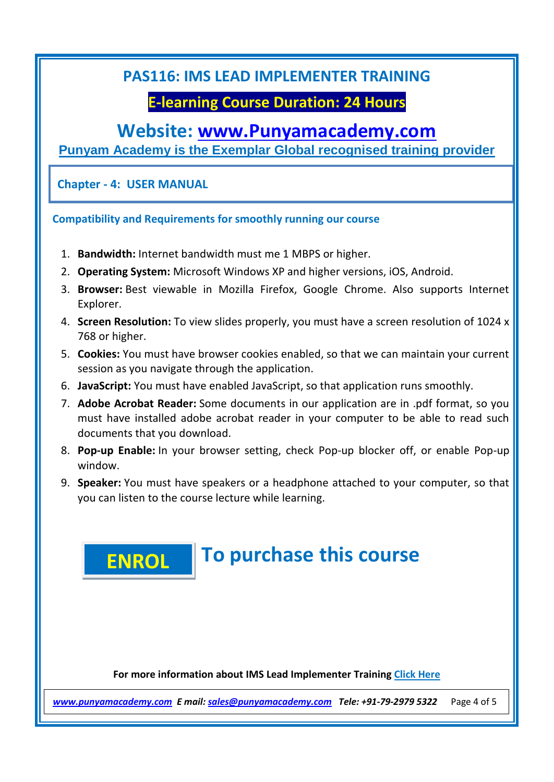## **E-learning Course Duration: 24 Hours**

### **Website: [www.Punyamacademy.com](http://www.punyamacademy.com/)**

**Punyam Academy is the Exemplar Global recognised training provider**

**Chapter - 4: USER MANUAL**

**Compatibility and Requirements for smoothly running our course**

- 1. **Bandwidth:** Internet bandwidth must me 1 MBPS or higher.
- 2. **Operating System:** Microsoft Windows XP and higher versions, iOS, Android.
- 3. **Browser:** Best viewable in Mozilla Firefox, Google Chrome. Also supports Internet Explorer.
- 4. **Screen Resolution:** To view slides properly, you must have a screen resolution of 1024 x 768 or higher.
- 5. **Cookies:** You must have browser cookies enabled, so that we can maintain your current session as you navigate through the application.
- 6. **JavaScript:** You must have enabled JavaScript, so that application runs smoothly.
- 7. **Adobe Acrobat Reader:** Some documents in our application are in .pdf format, so you must have installed adobe acrobat reader in your computer to be able to read such documents that you download.
- 8. **Pop-up Enable:** In your browser setting, check Pop-up blocker off, or enable Pop-up window.
- 9. **Speaker:** You must have speakers or a headphone attached to your computer, so that you can listen to the course lecture while learning.

#### **To purchase this course [ENROL](https://www.punyamacademy.com/book/ims-lead-implementer-training)**

**For more information about IMS Lead Implementer Training [Click Here](https://www.punyamacademy.com/course/hse/ims-lead-implementer-training)**

*[www.punyamacademy.com](https://www.punyamacademy.com/) E mail[: sales@punyamacademy.com](mailto:sales@punyamacademy.com) Tele: +91-79-2979 5322* Page 4 of 5